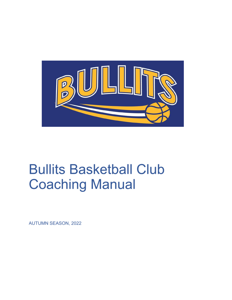

# **Bullits Basketball Club Coaching Manual**

**AUTUMN SEASON, 2022**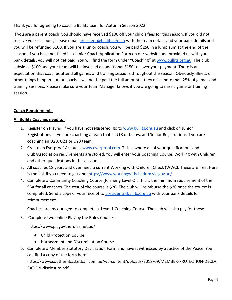Thank you for agreeing to coach a Bullits team for Autumn Season 2022.

If you are a parent coach, you should have received \$100 off your child's fees for this season. If you did not receive your discount, please email [president@bullits.org.au](mailto:president@bullits.org.au) with the team details and your bank details and you will be refunded \$100. If you are a junior coach, you will be paid \$250 in a lump sum at the end of the season. If you have not filled in a Junior Coach Application Form on our website and provided us with your bank details, you will not get paid. You will find the form under "Coaching" at [www.bullits.org.au](http://www.bullits.org.au). The club subsidies \$100 and your team will be invoiced an additional \$150 to cover your payment. There is an expectation that coaches attend all games and training sessions throughout the season. Obviously, illness or other things happen. Junior coaches will not be paid the full amount if they miss more than 25% of games and training sessions. Please make sure your Team Manager knows if you are going to miss a game or training session.

#### **Coach Requirements**

#### **All Bullits Coaches need to:**

- 1. Register on Playhq. If you have not registered, go to [www.bullits.org.au](http://www.bullits.org.au) and click on Junior Registrations- if you are coaching a team that is U18 or below, and Senior Registrations if you are coaching an U20, U21 or U23 team.
- 2. Create an Everproof Account- [www.everproof.com.](http://www.everproof.com) This is where all of your qualifications and Club/Association requirements are stored. You will enter your Coaching Course, Working with Children, and other qualifications in this account.
- 3. All coaches 18 years and over need a current Working with Children Check (WWC). These are free. Here is the link if you need to get one: <https://www.workingwithchildren.vic.gov.au/>
- 4. Complete a Community Coaching Course (formerly Level O). This is the minimum requirement of the SBA for all coaches. The cost of the course is \$20. The club will reimburse the \$20 once the course is completed. Send a copy of your receipt to [president@bullits.org.au](mailto:president@bullits.org.au) with your bank details for reimbursement.

Coaches are encouraged to complete a Level 1 Coaching Course. The club will also pay for these.

5. Complete two online Play by the Rules Courses:

https://www.playbytherules.net.au/

- Child Protection Course
- Harrassment and Discrimination Course
- 6. Complete a Member Statutory Declaration Form and have it witnessed by a Justice of the Peace. You can find a copy of the form here:

https://www.southernbasketball.com.au/wp-content/uploads/2018/09/MEMBER-PROTECTION-DECLA RATION-disclosure.pdf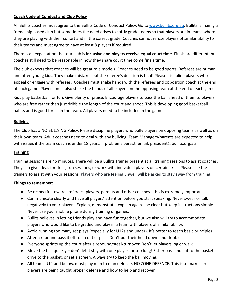## **Coach Code of Conduct and Club Policy**

All Bullits coaches must agree to the Bullits Code of Conduct Policy. Go to [www.bullits.org.au.](http://www.bullits.org.au) Bullits is mainly a friendship based club but sometimes the need arises to softly grade teams so that players are in teams where they are playing with their cohort and in the correct grade. Coaches cannot refuse players of similar ability to their teams and must agree to have at least 8 players if required.

There is an expectation that our club is **inclusive and players receive equal court time**. Finals are different, but coaches still need to be reasonable in how they share court time come finals time.

The club expects that coaches will be great role models. Coaches need to be good sports. Referees are human and often young kids. They make mistakes but the referee's decision is final! Please discipline players who appeal or engage with referees. Coaches must shake hands with the referees and opposition coach at the end of each game. Players must also shake the hands of all players on the opposing team at the end of each game.

Kids play basketball for fun. Give plenty of praise. Encourage players to pass the ball ahead of them to players who are free rather than just dribble the length of the court and shoot. This is developing good basketball habits and is good for all in the team. All players need to be included in the game.

#### **Bullying**

The Club has a NO BULLYING Policy. Please discipline players who bully players on opposing teams as well as on their own team. Adult coaches need to deal with any bullying. Team Managers/parents are expected to help with issues if the team coach is under 18 years. If problems persist, email: president@bullits.org.au

#### **Training**

Training sessions are 45 minutes. There will be a Bullits Trainer present at all training sessions to assist coaches. They can give ideas for drills, run sessions, or work with individual players on certain skills. Please use the trainers to assist with your sessions. Players who are feeling unwell will be asked to stay away from training.

#### **Things to remember:**

- Be respectful towards referees, players, parents and other coaches this is extremely important.
- Communicate clearly and have all players' attention before you start speaking. Never swear or talk negatively to your players. Explain, demonstrate, explain again - be clear but keep instructions simple. Never use your mobile phone during training or games.
- Bullits believes in letting friends play and have fun together, but we also will try to accommodate players who would like to be graded and play in a team with players of similar ability.
- Avoid running too many set plays (especially for U12s and under). It's better to teach basic principles.
- After a rebound pass it off to an outlet pass. Don't put their head down and dribble.
- Everyone sprints up the court after a rebound/steal/turnover. Don't let players jog or walk.
- $\bullet$  Move the ball quickly don't let it stay with one player for too long! Either pass and cut to the basket, drive to the basket, or set a screen. Always try to keep the ball moving.
- All teams U14 and below, must play man to man defense. NO ZONE DEFENCE. This is to make sure players are being taught proper defense and how to help and recover.